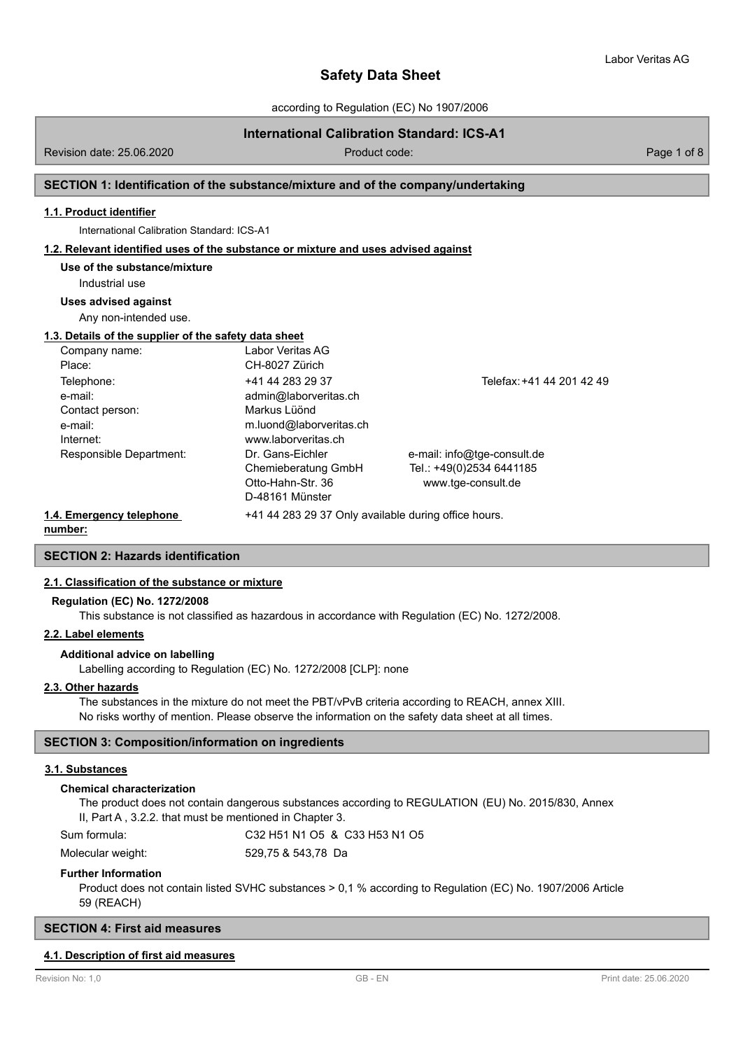according to Regulation (EC) No 1907/2006

# **International Calibration Standard: ICS-A1**

Revision date: 25.06.2020 Product code: Page 1 of 8

### **SECTION 1: Identification of the substance/mixture and of the company/undertaking**

#### **1.1. Product identifier**

International Calibration Standard: ICS-A1

#### **1.2. Relevant identified uses of the substance or mixture and uses advised against**

### **Use of the substance/mixture**

Industrial use

**Uses advised against**

Any non-intended use.

# **1.3. Details of the supplier of the safety data sheet**

| Company name:            | Labor Veritas AG                                     |                             |
|--------------------------|------------------------------------------------------|-----------------------------|
| Place:                   | CH-8027 Zürich                                       |                             |
| Telephone:               | +41 44 283 29 37                                     | Telefax: +41 44 201 42 49   |
| e-mail:                  | admin@laborveritas.ch                                |                             |
| Contact person:          | Markus Lüönd                                         |                             |
| e-mail:                  | m.luond@laborveritas.ch                              |                             |
| Internet:                | www.laborveritas.ch                                  |                             |
| Responsible Department:  | Dr. Gans-Eichler                                     | e-mail: info@tge-consult.de |
|                          | Chemieberatung GmbH                                  | Tel.: +49(0)2534 6441185    |
|                          | Otto-Hahn-Str. 36                                    | www.tge-consult.de          |
|                          | D-48161 Münster                                      |                             |
| 1.4. Emergency telephone | +41 44 283 29 37 Only available during office hours. |                             |

**number:**

**SECTION 2: Hazards identification**

# **2.1. Classification of the substance or mixture**

#### **Regulation (EC) No. 1272/2008**

This substance is not classified as hazardous in accordance with Regulation (EC) No. 1272/2008.

#### **2.2. Label elements**

#### **Additional advice on labelling**

Labelling according to Regulation (EC) No. 1272/2008 [CLP]: none

# **2.3. Other hazards**

The substances in the mixture do not meet the PBT/vPvB criteria according to REACH, annex XIII. No risks worthy of mention. Please observe the information on the safety data sheet at all times.

#### **SECTION 3: Composition/information on ingredients**

#### **3.1. Substances**

#### **Chemical characterization**

The product does not contain dangerous substances according to REGULATION (EU) No. 2015/830, Annex II, Part A , 3.2.2. that must be mentioned in Chapter 3. Sum formula: C32 H51 N1 O5 & C33 H53 N1 O5

Molecular weight: 529,75 & 543,78 Da

#### **Further Information**

Product does not contain listed SVHC substances > 0,1 % according to Regulation (EC) No. 1907/2006 Article 59 (REACH)

#### **SECTION 4: First aid measures**

#### **4.1. Description of first aid measures**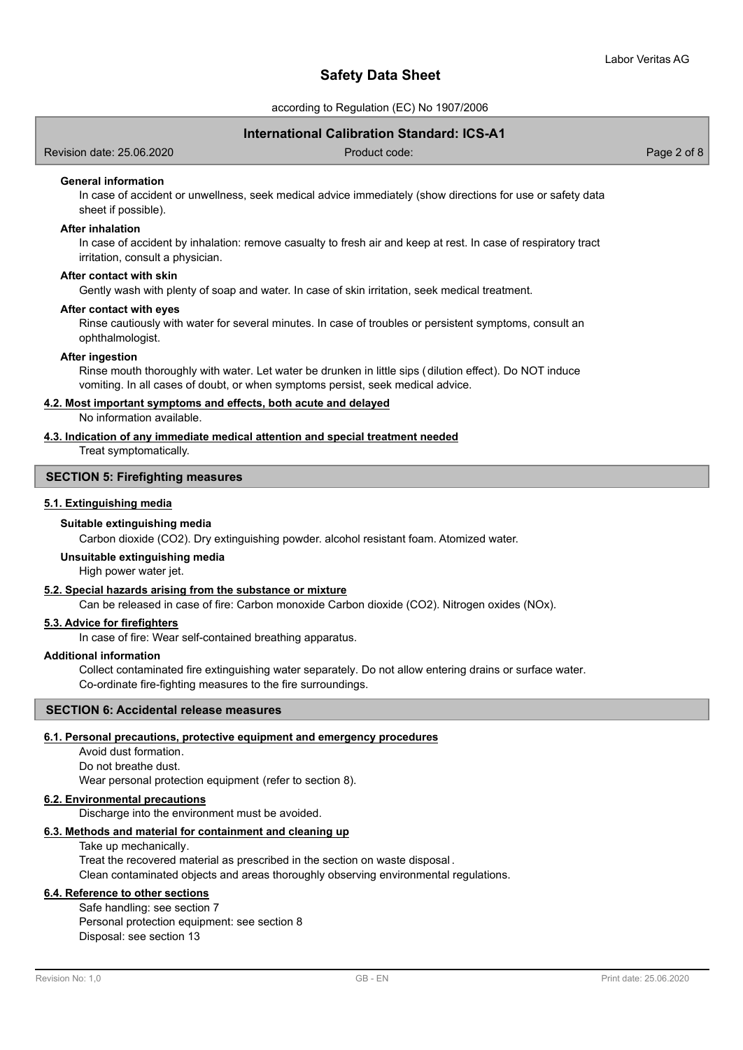according to Regulation (EC) No 1907/2006

# **International Calibration Standard: ICS-A1**

Revision date: 25.06.2020 Product code: Page 2 of 8

### **General information**

In case of accident or unwellness, seek medical advice immediately (show directions for use or safety data sheet if possible).

#### **After inhalation**

In case of accident by inhalation: remove casualty to fresh air and keep at rest. In case of respiratory tract irritation, consult a physician.

#### **After contact with skin**

Gently wash with plenty of soap and water. In case of skin irritation, seek medical treatment.

#### **After contact with eyes**

Rinse cautiously with water for several minutes. In case of troubles or persistent symptoms, consult an ophthalmologist.

#### **After ingestion**

Rinse mouth thoroughly with water. Let water be drunken in little sips (dilution effect). Do NOT induce vomiting. In all cases of doubt, or when symptoms persist, seek medical advice.

# **4.2. Most important symptoms and effects, both acute and delayed**

No information available.

## **4.3. Indication of any immediate medical attention and special treatment needed**

Treat symptomatically.

# **SECTION 5: Firefighting measures**

#### **5.1. Extinguishing media**

#### **Suitable extinguishing media**

Carbon dioxide (CO2). Dry extinguishing powder. alcohol resistant foam. Atomized water.

#### **Unsuitable extinguishing media**

High power water jet.

#### **5.2. Special hazards arising from the substance or mixture**

Can be released in case of fire: Carbon monoxide Carbon dioxide (CO2). Nitrogen oxides (NOx).

#### **5.3. Advice for firefighters**

In case of fire: Wear self-contained breathing apparatus.

#### **Additional information**

Collect contaminated fire extinguishing water separately. Do not allow entering drains or surface water. Co-ordinate fire-fighting measures to the fire surroundings.

#### **SECTION 6: Accidental release measures**

#### **6.1. Personal precautions, protective equipment and emergency procedures**

Avoid dust formation. Do not breathe dust. Wear personal protection equipment (refer to section 8).

#### **6.2. Environmental precautions**

Discharge into the environment must be avoided.

# **6.3. Methods and material for containment and cleaning up**

Take up mechanically.

Treat the recovered material as prescribed in the section on waste disposal . Clean contaminated objects and areas thoroughly observing environmental regulations.

# **6.4. Reference to other sections**

Safe handling: see section 7 Personal protection equipment: see section 8 Disposal: see section 13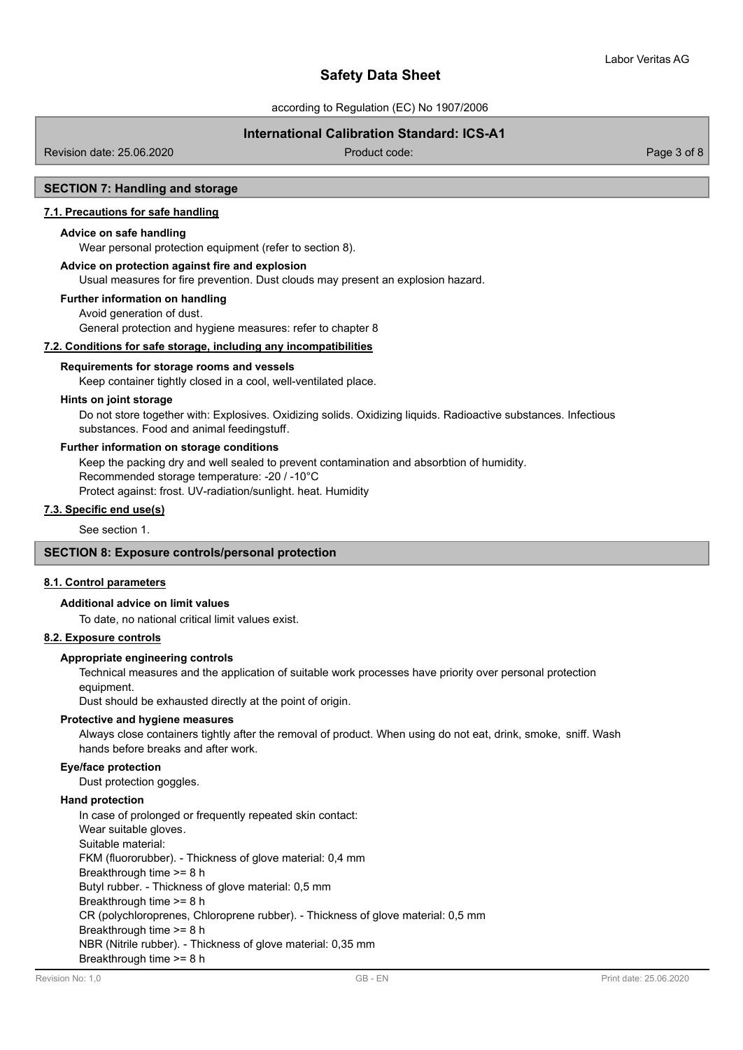according to Regulation (EC) No 1907/2006

# **International Calibration Standard: ICS-A1**

Revision date: 25.06.2020 **Product code:** Product code: Product code: Page 3 of 8

## **SECTION 7: Handling and storage**

#### **7.1. Precautions for safe handling**

#### **Advice on safe handling**

Wear personal protection equipment (refer to section 8).

#### **Advice on protection against fire and explosion**

Usual measures for fire prevention. Dust clouds may present an explosion hazard.

#### **Further information on handling**

Avoid generation of dust.

General protection and hygiene measures: refer to chapter 8

#### **7.2. Conditions for safe storage, including any incompatibilities**

#### **Requirements for storage rooms and vessels**

Keep container tightly closed in a cool, well-ventilated place.

#### **Hints on joint storage**

Do not store together with: Explosives. Oxidizing solids. Oxidizing liquids. Radioactive substances. Infectious substances. Food and animal feedingstuff.

#### **Further information on storage conditions**

Keep the packing dry and well sealed to prevent contamination and absorbtion of humidity.

Recommended storage temperature: -20 / -10°C

Protect against: frost. UV-radiation/sunlight. heat. Humidity

# **7.3. Specific end use(s)**

See section 1.

#### **SECTION 8: Exposure controls/personal protection**

#### **8.1. Control parameters**

### **Additional advice on limit values**

To date, no national critical limit values exist.

# **8.2. Exposure controls**

#### **Appropriate engineering controls**

Technical measures and the application of suitable work processes have priority over personal protection equipment.

Dust should be exhausted directly at the point of origin.

#### **Protective and hygiene measures**

Always close containers tightly after the removal of product. When using do not eat, drink, smoke, sniff. Wash hands before breaks and after work.

#### **Eye/face protection**

Dust protection goggles.

### **Hand protection**

In case of prolonged or frequently repeated skin contact: Wear suitable gloves. Suitable material: FKM (fluororubber). - Thickness of glove material: 0,4 mm Breakthrough time >= 8 h Butyl rubber. - Thickness of glove material: 0,5 mm Breakthrough time >= 8 h CR (polychloroprenes, Chloroprene rubber). - Thickness of glove material: 0,5 mm Breakthrough time >= 8 h NBR (Nitrile rubber). - Thickness of glove material: 0,35 mm Breakthrough time >= 8 h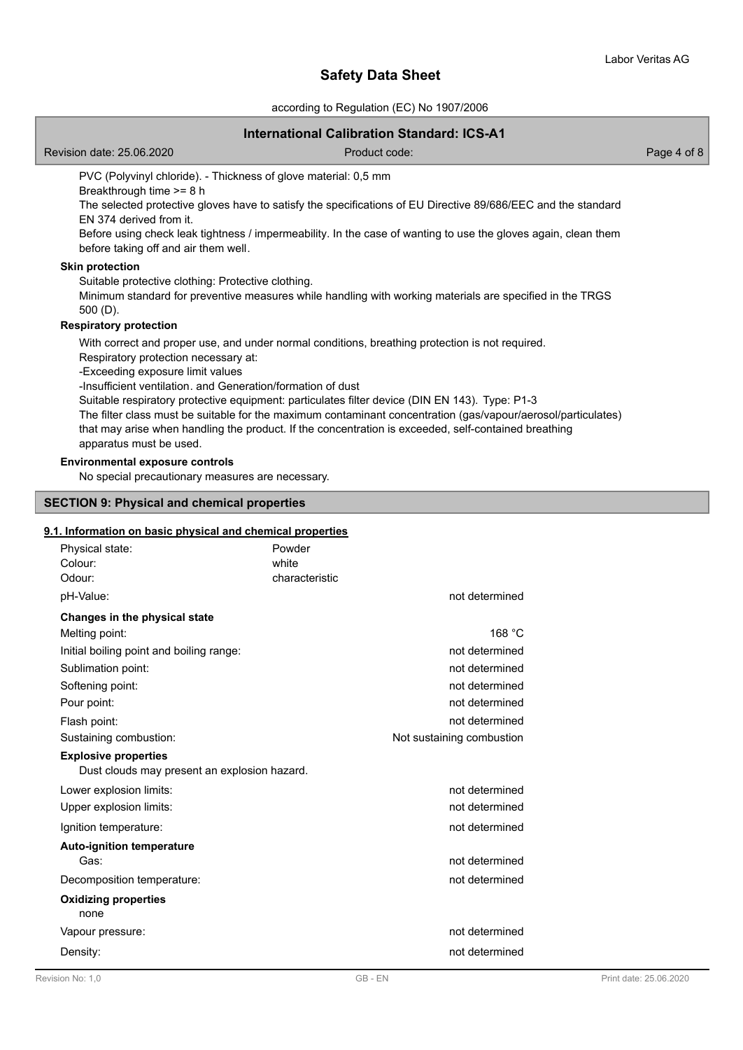according to Regulation (EC) No 1907/2006

# **International Calibration Standard: ICS-A1**

Revision date: 25.06.2020 **Product code:** Product code: Product code: Page 4 of 8

PVC (Polyvinyl chloride). - Thickness of glove material: 0,5 mm

Breakthrough time >= 8 h

The selected protective gloves have to satisfy the specifications of EU Directive 89/686/EEC and the standard EN 374 derived from it.

Before using check leak tightness / impermeability. In the case of wanting to use the gloves again, clean them before taking off and air them well.

# **Skin protection**

Suitable protective clothing: Protective clothing.

Minimum standard for preventive measures while handling with working materials are specified in the TRGS 500 (D).

#### **Respiratory protection**

With correct and proper use, and under normal conditions, breathing protection is not required. Respiratory protection necessary at:

-Exceeding exposure limit values

-Insufficient ventilation. and Generation/formation of dust

Suitable respiratory protective equipment: particulates filter device (DIN EN 143). Type: P1-3

The filter class must be suitable for the maximum contaminant concentration (gas/vapour/aerosol/particulates) that may arise when handling the product. If the concentration is exceeded, self-contained breathing apparatus must be used.

#### **Environmental exposure controls**

No special precautionary measures are necessary.

#### **SECTION 9: Physical and chemical properties**

# **9.1. Information on basic physical and chemical properties**

| Physical state:<br>Colour:<br>Odour:                                        | Powder<br>white<br>characteristic |                           |
|-----------------------------------------------------------------------------|-----------------------------------|---------------------------|
| pH-Value:                                                                   |                                   | not determined            |
| Changes in the physical state                                               |                                   |                           |
| Melting point:                                                              |                                   | 168 °C                    |
| Initial boiling point and boiling range:                                    |                                   | not determined            |
| Sublimation point:                                                          |                                   | not determined            |
| Softening point:                                                            |                                   | not determined            |
| Pour point:                                                                 |                                   | not determined            |
| Flash point:                                                                |                                   | not determined            |
| Sustaining combustion:                                                      |                                   | Not sustaining combustion |
| <b>Explosive properties</b><br>Dust clouds may present an explosion hazard. |                                   |                           |
| Lower explosion limits:                                                     |                                   | not determined            |
| Upper explosion limits:                                                     |                                   | not determined            |
| Ignition temperature:                                                       |                                   | not determined            |
| <b>Auto-ignition temperature</b><br>Gas:                                    |                                   | not determined            |
| Decomposition temperature:                                                  |                                   | not determined            |
| <b>Oxidizing properties</b><br>none                                         |                                   |                           |
| Vapour pressure:                                                            |                                   | not determined            |
| Density:                                                                    |                                   | not determined            |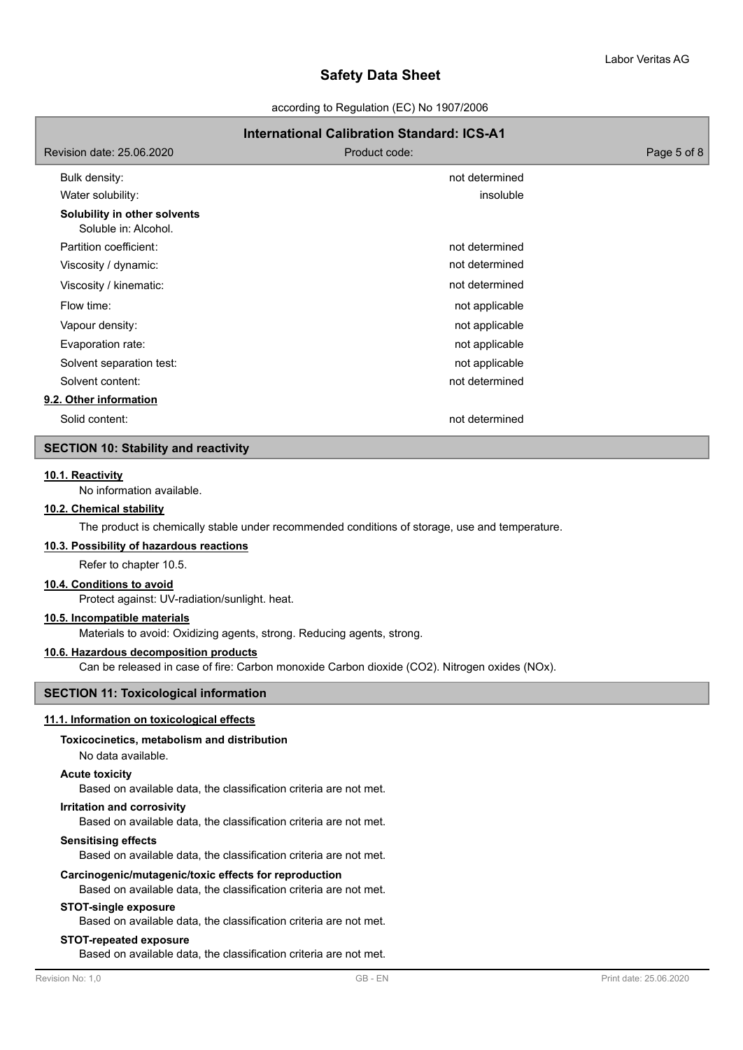according to Regulation (EC) No 1907/2006

# **International Calibration Standard: ICS-A1** Revision date: 25.06.2020 **Product code:** Product code: Product code: Page 5 of 8 Bulk density: not determined Water solubility: insoluble **Solubility in other solvents** Soluble in: Alcohol. Partition coefficient: not determined Viscosity / dynamic:  $\blacksquare$ Viscosity / kinematic:  $\blacksquare$ Flow time: not applicable the state of the state of the state of the state of the state of the state of the state of the state of the state of the state of the state of the state of the state of the state of the state of t Vapour density:  $\blacksquare$ Evaporation rate: not applicable by the contract of the contract of applicable by the contract of the contract of the contract of the contract of the contract of the contract of the contract of the contract of the contract Solvent separation test: not applicable solvent separation test: not applicable Solvent content: not determined **9.2. Other information** Solid content: not determined

# **SECTION 10: Stability and reactivity**

#### **10.1. Reactivity**

No information available.

# **10.2. Chemical stability**

The product is chemically stable under recommended conditions of storage, use and temperature.

#### **10.3. Possibility of hazardous reactions**

Refer to chapter 10.5.

# **10.4. Conditions to avoid**

Protect against: UV-radiation/sunlight. heat.

# **10.5. Incompatible materials**

Materials to avoid: Oxidizing agents, strong. Reducing agents, strong.

# **10.6. Hazardous decomposition products**

Can be released in case of fire: Carbon monoxide Carbon dioxide (CO2). Nitrogen oxides (NOx).

# **SECTION 11: Toxicological information**

# **11.1. Information on toxicological effects**

#### **Toxicocinetics, metabolism and distribution**

No data available.

# **Acute toxicity**

Based on available data, the classification criteria are not met.

### **Irritation and corrosivity**

Based on available data, the classification criteria are not met.

#### **Sensitising effects**

Based on available data, the classification criteria are not met.

#### **Carcinogenic/mutagenic/toxic effects for reproduction**

Based on available data, the classification criteria are not met.

# **STOT-single exposure**

Based on available data, the classification criteria are not met.

### **STOT-repeated exposure**

Based on available data, the classification criteria are not met.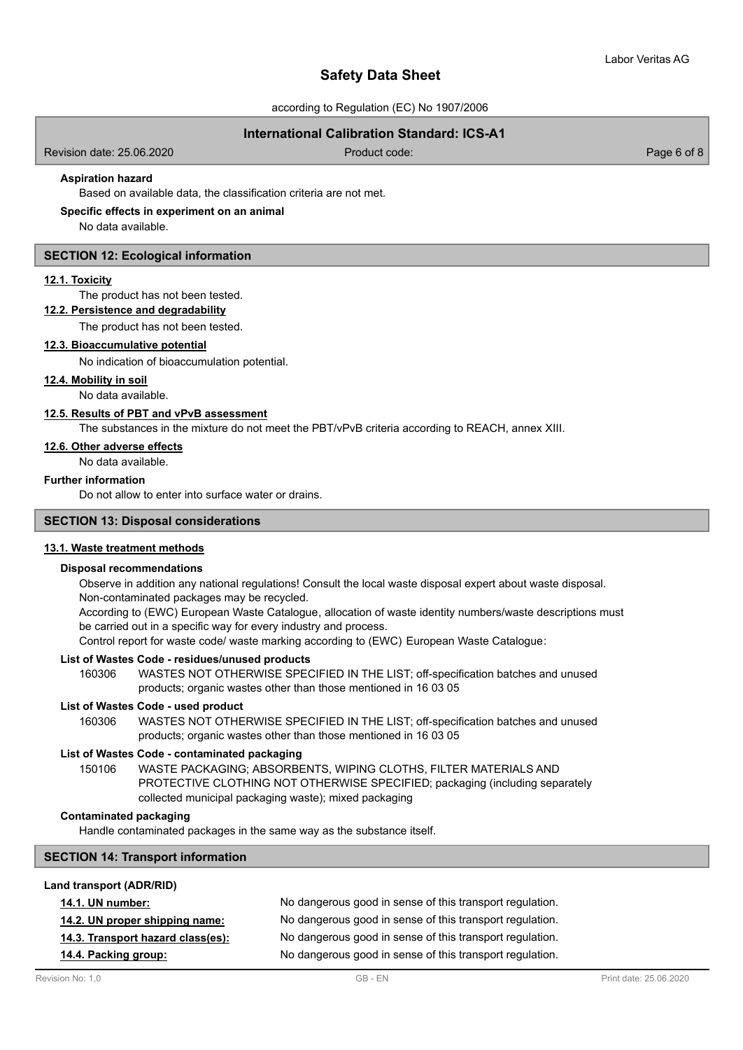according to Regulation (EC) No 1907/2006

# **International Calibration Standard: ICS-A1**

Revision date: 25.06.2020 Product code: Page 6 of 8

# **Aspiration hazard**

Based on available data, the classification criteria are not met.

#### **Specific effects in experiment on an animal**

No data available.

#### **SECTION 12: Ecological information**

#### **12.1. Toxicity**

The product has not been tested.

# **12.2. Persistence and degradability**

The product has not been tested.

#### **12.3. Bioaccumulative potential**

No indication of bioaccumulation potential.

#### **12.4. Mobility in soil**

No data available.

### **12.5. Results of PBT and vPvB assessment**

The substances in the mixture do not meet the PBT/vPvB criteria according to REACH, annex XIII.

# **12.6. Other adverse effects**

No data available.

# **Further information**

Do not allow to enter into surface water or drains.

# **SECTION 13: Disposal considerations**

#### **13.1. Waste treatment methods**

#### **Disposal recommendations**

Observe in addition any national regulations! Consult the local waste disposal expert about waste disposal. Non-contaminated packages may be recycled.

According to (EWC) European Waste Catalogue, allocation of waste identity numbers/waste descriptions must be carried out in a specific way for every industry and process.

Control report for waste code/ waste marking according to (EWC) European Waste Catalogue:

#### **List of Wastes Code - residues/unused products**

160306 WASTES NOT OTHERWISE SPECIFIED IN THE LIST; off-specification batches and unused products; organic wastes other than those mentioned in 16 03 05

#### **List of Wastes Code - used product**

WASTES NOT OTHERWISE SPECIFIED IN THE LIST; off-specification batches and unused products; organic wastes other than those mentioned in 16 03 05 160306

#### **List of Wastes Code - contaminated packaging**

WASTE PACKAGING; ABSORBENTS, WIPING CLOTHS, FILTER MATERIALS AND PROTECTIVE CLOTHING NOT OTHERWISE SPECIFIED; packaging (including separately collected municipal packaging waste); mixed packaging 150106

# **Contaminated packaging**

Handle contaminated packages in the same way as the substance itself.

### **SECTION 14: Transport information**

#### **Land transport (ADR/RID)**

| <b>14.1. UN number:</b>           | No dangerous good in sense of this transport regulation. |
|-----------------------------------|----------------------------------------------------------|
| 14.2. UN proper shipping name:    | No dangerous good in sense of this transport regulation. |
| 14.3. Transport hazard class(es): | No dangerous good in sense of this transport regulation. |
| 14.4. Packing group:              | No dangerous good in sense of this transport regulation. |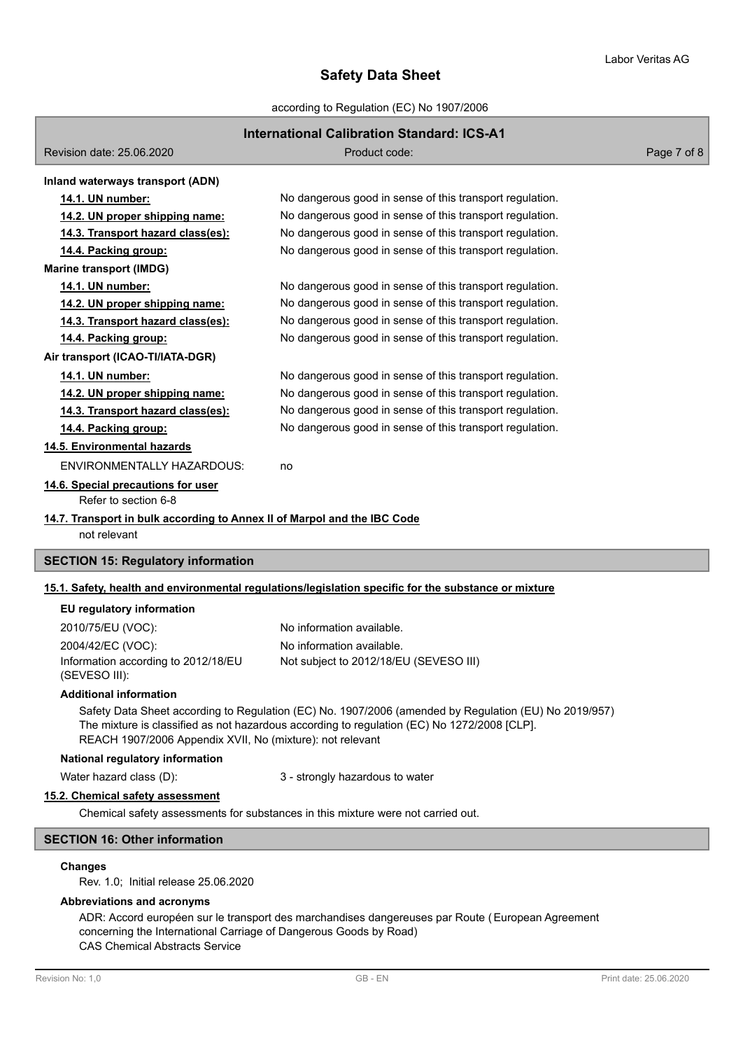according to Regulation (EC) No 1907/2006

# **International Calibration Standard: ICS-A1**

| Revision date: 25.06.2020                                                                            | Product code:                                            | Page 7 of 8 |
|------------------------------------------------------------------------------------------------------|----------------------------------------------------------|-------------|
| Inland waterways transport (ADN)                                                                     |                                                          |             |
| 14.1. UN number:                                                                                     | No dangerous good in sense of this transport regulation. |             |
| 14.2. UN proper shipping name:                                                                       | No dangerous good in sense of this transport regulation. |             |
| 14.3. Transport hazard class(es):                                                                    | No dangerous good in sense of this transport regulation. |             |
| 14.4. Packing group:                                                                                 | No dangerous good in sense of this transport regulation. |             |
| <b>Marine transport (IMDG)</b>                                                                       |                                                          |             |
| 14.1. UN number:                                                                                     | No dangerous good in sense of this transport regulation. |             |
| 14.2. UN proper shipping name:                                                                       | No dangerous good in sense of this transport regulation. |             |
| 14.3. Transport hazard class(es):                                                                    | No dangerous good in sense of this transport regulation. |             |
| 14.4. Packing group:                                                                                 | No dangerous good in sense of this transport regulation. |             |
| Air transport (ICAO-TI/IATA-DGR)                                                                     |                                                          |             |
| 14.1. UN number:                                                                                     | No dangerous good in sense of this transport regulation. |             |
| 14.2. UN proper shipping name:                                                                       | No dangerous good in sense of this transport regulation. |             |
| 14.3. Transport hazard class(es):                                                                    | No dangerous good in sense of this transport regulation. |             |
| 14.4. Packing group:                                                                                 | No dangerous good in sense of this transport regulation. |             |
| 14.5. Environmental hazards                                                                          |                                                          |             |
| <b>ENVIRONMENTALLY HAZARDOUS:</b>                                                                    | no                                                       |             |
| 14.6. Special precautions for user<br>Refer to section 6-8                                           |                                                          |             |
| 14.7. Transport in bulk according to Annex II of Marpol and the IBC Code<br>not relevant             |                                                          |             |
| <b>SECTION 15: Regulatory information</b>                                                            |                                                          |             |
| 15.1. Safety, health and environmental regulations/legislation specific for the substance or mixture |                                                          |             |

#### **EU regulatory information**

| 2010/75/EU (VOC):                   | No information available.              |
|-------------------------------------|----------------------------------------|
| 2004/42/EC (VOC):                   | No information available.              |
| Information according to 2012/18/EU | Not subject to 2012/18/EU (SEVESO III) |
| (SEVESO III):                       |                                        |

# **Additional information**

Safety Data Sheet according to Regulation (EC) No. 1907/2006 (amended by Regulation (EU) No 2019/957) The mixture is classified as not hazardous according to regulation (EC) No 1272/2008 [CLP]. REACH 1907/2006 Appendix XVII, No (mixture): not relevant

#### **National regulatory information**

Water hazard class (D): 3 - strongly hazardous to water

#### **15.2. Chemical safety assessment**

Chemical safety assessments for substances in this mixture were not carried out.

### **SECTION 16: Other information**

# **Changes**

Rev. 1.0; Initial release 25.06.2020

# **Abbreviations and acronyms**

ADR: Accord européen sur le transport des marchandises dangereuses par Route (European Agreement concerning the International Carriage of Dangerous Goods by Road) CAS Chemical Abstracts Service